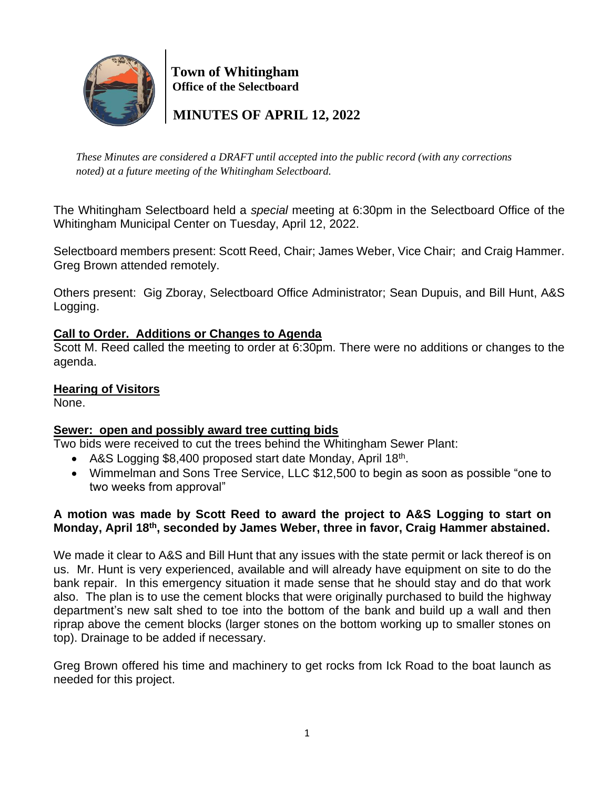

 **Town of Whitingham Office of the Selectboard**

 **MINUTES OF APRIL 12, 2022**

*These Minutes are considered a DRAFT until accepted into the public record (with any corrections noted) at a future meeting of the Whitingham Selectboard.*

The Whitingham Selectboard held a *special* meeting at 6:30pm in the Selectboard Office of the Whitingham Municipal Center on Tuesday, April 12, 2022.

Selectboard members present: Scott Reed, Chair; James Weber, Vice Chair; and Craig Hammer. Greg Brown attended remotely.

Others present: Gig Zboray, Selectboard Office Administrator; Sean Dupuis, and Bill Hunt, A&S Logging.

# **Call to Order. Additions or Changes to Agenda**

Scott M. Reed called the meeting to order at 6:30pm. There were no additions or changes to the agenda.

### **Hearing of Visitors**

None.

# **Sewer: open and possibly award tree cutting bids**

Two bids were received to cut the trees behind the Whitingham Sewer Plant:

- A&S Logging \$8,400 proposed start date Monday, April 18<sup>th</sup>.
- Wimmelman and Sons Tree Service, LLC \$12,500 to begin as soon as possible "one to two weeks from approval"

# **A motion was made by Scott Reed to award the project to A&S Logging to start on Monday, April 18th , seconded by James Weber, three in favor, Craig Hammer abstained.**

We made it clear to A&S and Bill Hunt that any issues with the state permit or lack thereof is on us. Mr. Hunt is very experienced, available and will already have equipment on site to do the bank repair. In this emergency situation it made sense that he should stay and do that work also. The plan is to use the cement blocks that were originally purchased to build the highway department's new salt shed to toe into the bottom of the bank and build up a wall and then riprap above the cement blocks (larger stones on the bottom working up to smaller stones on top). Drainage to be added if necessary.

Greg Brown offered his time and machinery to get rocks from Ick Road to the boat launch as needed for this project.